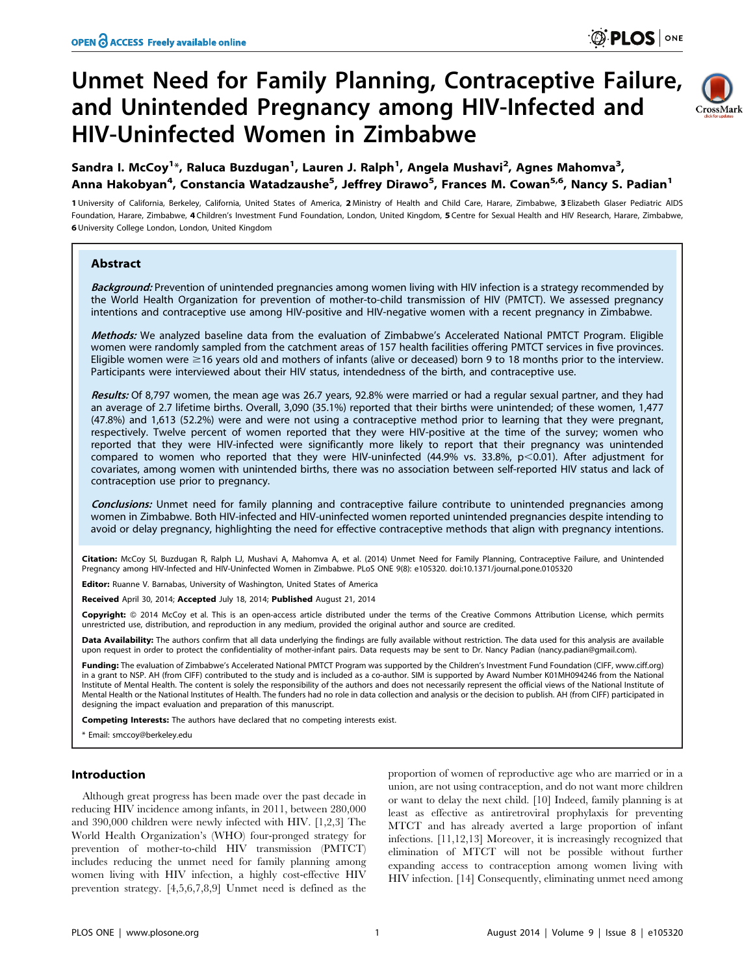# Unmet Need for Family Planning, Contraceptive Failure, and Unintended Pregnancy among HIV-Infected and HIV-Uninfected Women in Zimbabwe



## Sandra I. McCoy<sup>1</sup>\*, Raluca Buzdugan<sup>1</sup>, Lauren J. Ralph<sup>1</sup>, Angela Mushavi<sup>2</sup>, Agnes Mahomva<sup>3</sup>, Anna Hakobyan<sup>4</sup>, Constancia Watadzaushe<sup>5</sup>, Jeffrey Dirawo<sup>5</sup>, Frances M. Cowan<sup>5,6</sup>, Nancy S. Padian<sup>1</sup>

1 University of California, Berkeley, California, United States of America, 2 Ministry of Health and Child Care, Harare, Zimbabwe, 3 Elizabeth Glaser Pediatric AIDS Foundation, Harare, Zimbabwe, 4 Children's Investment Fund Foundation, London, United Kingdom, 5 Centre for Sexual Health and HIV Research, Harare, Zimbabwe, 6 University College London, London, United Kingdom

## Abstract

Background: Prevention of unintended pregnancies among women living with HIV infection is a strategy recommended by the World Health Organization for prevention of mother-to-child transmission of HIV (PMTCT). We assessed pregnancy intentions and contraceptive use among HIV-positive and HIV-negative women with a recent pregnancy in Zimbabwe.

Methods: We analyzed baseline data from the evaluation of Zimbabwe's Accelerated National PMTCT Program. Eligible women were randomly sampled from the catchment areas of 157 health facilities offering PMTCT services in five provinces. Eligible women were  $\geq$ 16 years old and mothers of infants (alive or deceased) born 9 to 18 months prior to the interview. Participants were interviewed about their HIV status, intendedness of the birth, and contraceptive use.

Results: Of 8,797 women, the mean age was 26.7 years, 92.8% were married or had a regular sexual partner, and they had an average of 2.7 lifetime births. Overall, 3,090 (35.1%) reported that their births were unintended; of these women, 1,477 (47.8%) and 1,613 (52.2%) were and were not using a contraceptive method prior to learning that they were pregnant, respectively. Twelve percent of women reported that they were HIV-positive at the time of the survey; women who reported that they were HIV-infected were significantly more likely to report that their pregnancy was unintended compared to women who reported that they were HIV-uninfected (44.9% vs. 33.8%,  $p<$  0.01). After adjustment for covariates, among women with unintended births, there was no association between self-reported HIV status and lack of contraception use prior to pregnancy.

**Conclusions:** Unmet need for family planning and contraceptive failure contribute to unintended pregnancies among women in Zimbabwe. Both HIV-infected and HIV-uninfected women reported unintended pregnancies despite intending to avoid or delay pregnancy, highlighting the need for effective contraceptive methods that align with pregnancy intentions.

Citation: McCoy SI, Buzdugan R, Ralph LJ, Mushavi A, Mahomva A, et al. (2014) Unmet Need for Family Planning, Contraceptive Failure, and Unintended Pregnancy among HIV-Infected and HIV-Uninfected Women in Zimbabwe. PLoS ONE 9(8): e105320. doi:10.1371/journal.pone.0105320

Editor: Ruanne V. Barnabas, University of Washington, United States of America

Received April 30, 2014; Accepted July 18, 2014; Published August 21, 2014

Copyright: © 2014 McCoy et al. This is an open-access article distributed under the terms of the [Creative Commons Attribution License](http://creativecommons.org/licenses/by/4.0/), which permits unrestricted use, distribution, and reproduction in any medium, provided the original author and source are credited.

Data Availability: The authors confirm that all data underlying the findings are fully available without restriction. The data used for this analysis are available upon request in order to protect the confidentiality of mother-infant pairs. Data requests may be sent to Dr. Nancy Padian (nancy.padian@gmail.com).

Funding: The evaluation of Zimbabwe's Accelerated National PMTCT Program was supported by the Children's Investment Fund Foundation (CIFF, [www.ciff.org\)](www.ciff.org) in a grant to NSP. AH (from CIFF) contributed to the study and is included as a co-author. SIM is supported by Award Number K01MH094246 from the National Institute of Mental Health. The content is solely the responsibility of the authors and does not necessarily represent the official views of the National Institute of Mental Health or the National Institutes of Health. The funders had no role in data collection and analysis or the decision to publish. AH (from CIFF) participated in designing the impact evaluation and preparation of this manuscript.

ompeting Interests: The authors have declared that no competing interests exist.

\* Email: smccoy@berkeley.edu

## Introduction

Although great progress has been made over the past decade in reducing HIV incidence among infants, in 2011, between 280,000 and 390,000 children were newly infected with HIV. [1,2,3] The World Health Organization's (WHO) four-pronged strategy for prevention of mother-to-child HIV transmission (PMTCT) includes reducing the unmet need for family planning among women living with HIV infection, a highly cost-effective HIV prevention strategy. [4,5,6,7,8,9] Unmet need is defined as the

proportion of women of reproductive age who are married or in a union, are not using contraception, and do not want more children or want to delay the next child. [10] Indeed, family planning is at least as effective as antiretroviral prophylaxis for preventing MTCT and has already averted a large proportion of infant infections. [11,12,13] Moreover, it is increasingly recognized that elimination of MTCT will not be possible without further expanding access to contraception among women living with HIV infection. [14] Consequently, eliminating unmet need among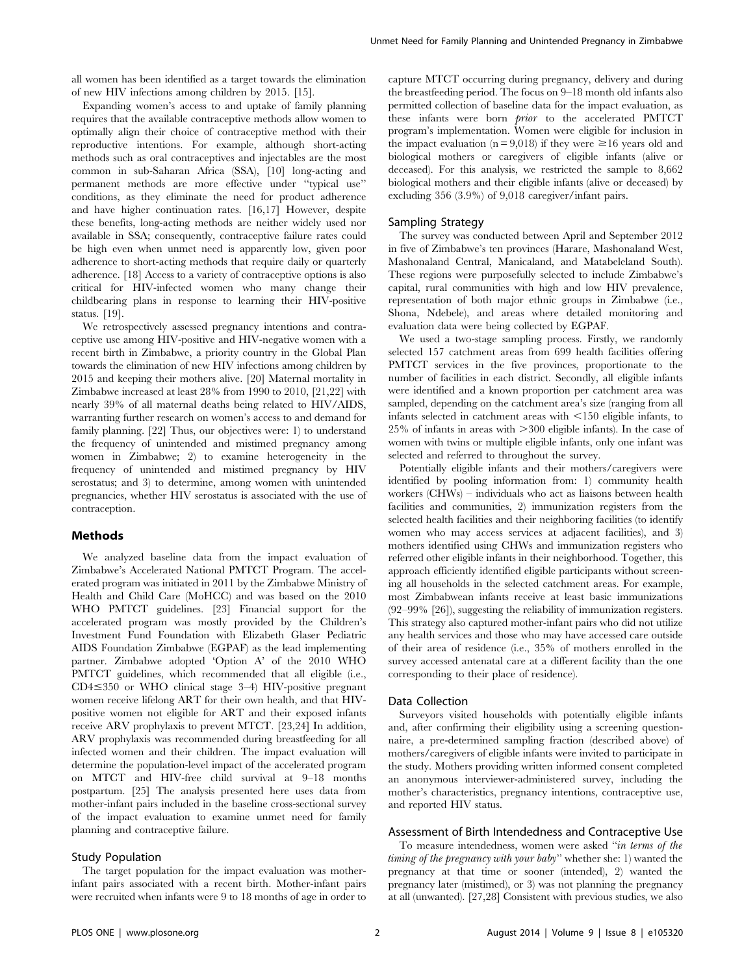all women has been identified as a target towards the elimination of new HIV infections among children by 2015. [15].

Expanding women's access to and uptake of family planning requires that the available contraceptive methods allow women to optimally align their choice of contraceptive method with their reproductive intentions. For example, although short-acting methods such as oral contraceptives and injectables are the most common in sub-Saharan Africa (SSA), [10] long-acting and permanent methods are more effective under ''typical use'' conditions, as they eliminate the need for product adherence and have higher continuation rates. [16,17] However, despite these benefits, long-acting methods are neither widely used nor available in SSA; consequently, contraceptive failure rates could be high even when unmet need is apparently low, given poor adherence to short-acting methods that require daily or quarterly adherence. [18] Access to a variety of contraceptive options is also critical for HIV-infected women who many change their childbearing plans in response to learning their HIV-positive status. [19].

We retrospectively assessed pregnancy intentions and contraceptive use among HIV-positive and HIV-negative women with a recent birth in Zimbabwe, a priority country in the Global Plan towards the elimination of new HIV infections among children by 2015 and keeping their mothers alive. [20] Maternal mortality in Zimbabwe increased at least 28% from 1990 to 2010, [21,22] with nearly 39% of all maternal deaths being related to HIV/AIDS, warranting further research on women's access to and demand for family planning. [22] Thus, our objectives were: 1) to understand the frequency of unintended and mistimed pregnancy among women in Zimbabwe; 2) to examine heterogeneity in the frequency of unintended and mistimed pregnancy by HIV serostatus; and 3) to determine, among women with unintended pregnancies, whether HIV serostatus is associated with the use of contraception.

#### Methods

We analyzed baseline data from the impact evaluation of Zimbabwe's Accelerated National PMTCT Program. The accelerated program was initiated in 2011 by the Zimbabwe Ministry of Health and Child Care (MoHCC) and was based on the 2010 WHO PMTCT guidelines. [23] Financial support for the accelerated program was mostly provided by the Children's Investment Fund Foundation with Elizabeth Glaser Pediatric AIDS Foundation Zimbabwe (EGPAF) as the lead implementing partner. Zimbabwe adopted 'Option A' of the 2010 WHO PMTCT guidelines, which recommended that all eligible (i.e.,  $CD4 \leq 350$  or WHO clinical stage 3–4) HIV-positive pregnant women receive lifelong ART for their own health, and that HIVpositive women not eligible for ART and their exposed infants receive ARV prophylaxis to prevent MTCT. [23,24] In addition, ARV prophylaxis was recommended during breastfeeding for all infected women and their children. The impact evaluation will determine the population-level impact of the accelerated program on MTCT and HIV-free child survival at 9–18 months postpartum. [25] The analysis presented here uses data from mother-infant pairs included in the baseline cross-sectional survey of the impact evaluation to examine unmet need for family planning and contraceptive failure.

#### Study Population

The target population for the impact evaluation was motherinfant pairs associated with a recent birth. Mother-infant pairs were recruited when infants were 9 to 18 months of age in order to capture MTCT occurring during pregnancy, delivery and during the breastfeeding period. The focus on 9–18 month old infants also permitted collection of baseline data for the impact evaluation, as these infants were born *prior* to the accelerated PMTCT program's implementation. Women were eligible for inclusion in the impact evaluation ( $n = 9,018$ ) if they were  $\ge 16$  years old and biological mothers or caregivers of eligible infants (alive or deceased). For this analysis, we restricted the sample to 8,662 biological mothers and their eligible infants (alive or deceased) by excluding 356 (3.9%) of 9,018 caregiver/infant pairs.

#### Sampling Strategy

The survey was conducted between April and September 2012 in five of Zimbabwe's ten provinces (Harare, Mashonaland West, Mashonaland Central, Manicaland, and Matabeleland South). These regions were purposefully selected to include Zimbabwe's capital, rural communities with high and low HIV prevalence, representation of both major ethnic groups in Zimbabwe (i.e., Shona, Ndebele), and areas where detailed monitoring and evaluation data were being collected by EGPAF.

We used a two-stage sampling process. Firstly, we randomly selected 157 catchment areas from 699 health facilities offering PMTCT services in the five provinces, proportionate to the number of facilities in each district. Secondly, all eligible infants were identified and a known proportion per catchment area was sampled, depending on the catchment area's size (ranging from all infants selected in catchment areas with  $\leq$ 150 eligible infants, to  $25\%$  of infants in areas with  $>300$  eligible infants). In the case of women with twins or multiple eligible infants, only one infant was selected and referred to throughout the survey.

Potentially eligible infants and their mothers/caregivers were identified by pooling information from: 1) community health workers (CHWs) – individuals who act as liaisons between health facilities and communities, 2) immunization registers from the selected health facilities and their neighboring facilities (to identify women who may access services at adjacent facilities), and 3) mothers identified using CHWs and immunization registers who referred other eligible infants in their neighborhood. Together, this approach efficiently identified eligible participants without screening all households in the selected catchment areas. For example, most Zimbabwean infants receive at least basic immunizations (92–99% [26]), suggesting the reliability of immunization registers. This strategy also captured mother-infant pairs who did not utilize any health services and those who may have accessed care outside of their area of residence (i.e., 35% of mothers enrolled in the survey accessed antenatal care at a different facility than the one corresponding to their place of residence).

#### Data Collection

Surveyors visited households with potentially eligible infants and, after confirming their eligibility using a screening questionnaire, a pre-determined sampling fraction (described above) of mothers/caregivers of eligible infants were invited to participate in the study. Mothers providing written informed consent completed an anonymous interviewer-administered survey, including the mother's characteristics, pregnancy intentions, contraceptive use, and reported HIV status.

#### Assessment of Birth Intendedness and Contraceptive Use

To measure intendedness, women were asked ''in terms of the timing of the pregnancy with your baby'' whether she: 1) wanted the pregnancy at that time or sooner (intended), 2) wanted the pregnancy later (mistimed), or 3) was not planning the pregnancy at all (unwanted). [27,28] Consistent with previous studies, we also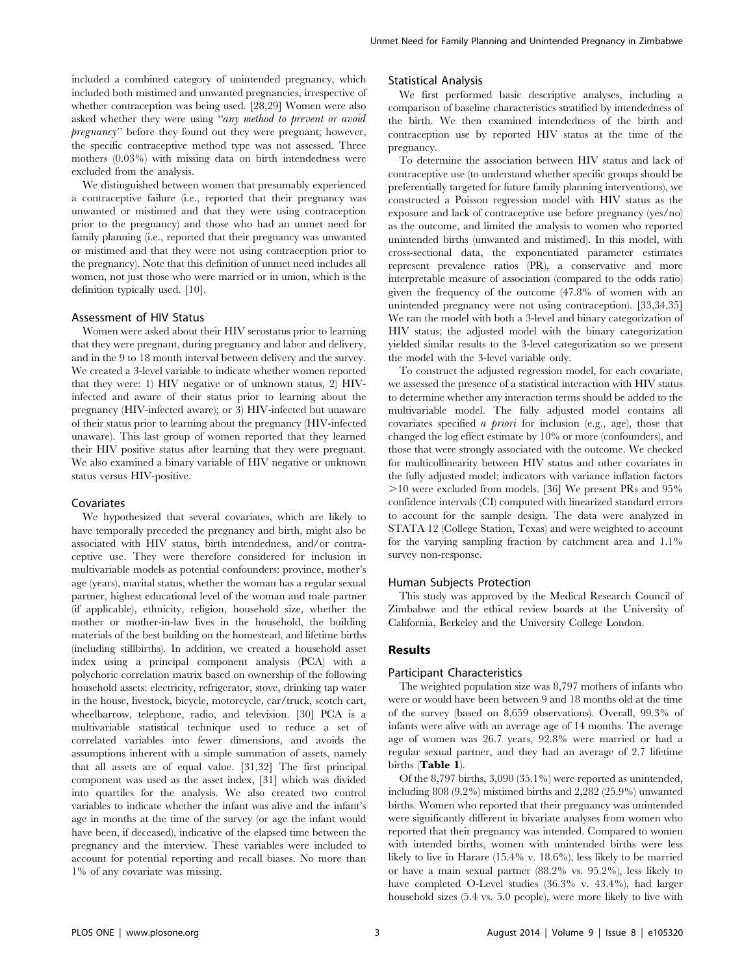included a combined category of unintended pregnancy, which included both mistimed and unwanted pregnancies, irrespective of whether contraception was being used. [28,29] Women were also asked whether they were using "any method to prevent or avoid pregnancy'' before they found out they were pregnant; however, the specific contraceptive method type was not assessed. Three mothers (0.03%) with missing data on birth intendedness were excluded from the analysis.

We distinguished between women that presumably experienced a contraceptive failure (i.e., reported that their pregnancy was unwanted or mistimed and that they were using contraception prior to the pregnancy) and those who had an unmet need for family planning (i.e., reported that their pregnancy was unwanted or mistimed and that they were not using contraception prior to the pregnancy). Note that this definition of unmet need includes all women, not just those who were married or in union, which is the definition typically used. [10].

#### Assessment of HIV Status

Women were asked about their HIV serostatus prior to learning that they were pregnant, during pregnancy and labor and delivery, and in the 9 to 18 month interval between delivery and the survey. We created a 3-level variable to indicate whether women reported that they were: 1) HIV negative or of unknown status, 2) HIVinfected and aware of their status prior to learning about the pregnancy (HIV-infected aware); or 3) HIV-infected but unaware of their status prior to learning about the pregnancy (HIV-infected unaware). This last group of women reported that they learned their HIV positive status after learning that they were pregnant. We also examined a binary variable of HIV negative or unknown status versus HIV-positive.

#### Covariates

We hypothesized that several covariates, which are likely to have temporally preceded the pregnancy and birth, might also be associated with HIV status, birth intendedness, and/or contraceptive use. They were therefore considered for inclusion in multivariable models as potential confounders: province, mother's age (years), marital status, whether the woman has a regular sexual partner, highest educational level of the woman and male partner (if applicable), ethnicity, religion, household size, whether the mother or mother-in-law lives in the household, the building materials of the best building on the homestead, and lifetime births (including stillbirths). In addition, we created a household asset index using a principal component analysis (PCA) with a polychoric correlation matrix based on ownership of the following household assets: electricity, refrigerator, stove, drinking tap water in the house, livestock, bicycle, motorcycle, car/truck, scotch cart, wheelbarrow, telephone, radio, and television. [30] PCA is a multivariable statistical technique used to reduce a set of correlated variables into fewer dimensions, and avoids the assumptions inherent with a simple summation of assets, namely that all assets are of equal value. [31,32] The first principal component was used as the asset index, [31] which was divided into quartiles for the analysis. We also created two control variables to indicate whether the infant was alive and the infant's age in months at the time of the survey (or age the infant would have been, if deceased), indicative of the elapsed time between the pregnancy and the interview. These variables were included to account for potential reporting and recall biases. No more than 1% of any covariate was missing.

#### Statistical Analysis

We first performed basic descriptive analyses, including a comparison of baseline characteristics stratified by intendedness of the birth. We then examined intendedness of the birth and contraception use by reported HIV status at the time of the pregnancy.

To determine the association between HIV status and lack of contraceptive use (to understand whether specific groups should be preferentially targeted for future family planning interventions), we constructed a Poisson regression model with HIV status as the exposure and lack of contraceptive use before pregnancy (yes/no) as the outcome, and limited the analysis to women who reported unintended births (unwanted and mistimed). In this model, with cross-sectional data, the exponentiated parameter estimates represent prevalence ratios (PR), a conservative and more interpretable measure of association (compared to the odds ratio) given the frequency of the outcome (47.8% of women with an unintended pregnancy were not using contraception). [33,34,35] We ran the model with both a 3-level and binary categorization of HIV status; the adjusted model with the binary categorization yielded similar results to the 3-level categorization so we present the model with the 3-level variable only.

To construct the adjusted regression model, for each covariate, we assessed the presence of a statistical interaction with HIV status to determine whether any interaction terms should be added to the multivariable model. The fully adjusted model contains all covariates specified a priori for inclusion (e.g., age), those that changed the log effect estimate by 10% or more (confounders), and those that were strongly associated with the outcome. We checked for multicollinearity between HIV status and other covariates in the fully adjusted model; indicators with variance inflation factors .10 were excluded from models. [36] We present PRs and 95% confidence intervals (CI) computed with linearized standard errors to account for the sample design. The data were analyzed in STATA 12 (College Station, Texas) and were weighted to account for the varying sampling fraction by catchment area and 1.1% survey non-response.

#### Human Subjects Protection

This study was approved by the Medical Research Council of Zimbabwe and the ethical review boards at the University of California, Berkeley and the University College London.

#### Results

#### Participant Characteristics

The weighted population size was 8,797 mothers of infants who were or would have been between 9 and 18 months old at the time of the survey (based on 8,659 observations). Overall, 99.3% of infants were alive with an average age of 14 months. The average age of women was 26.7 years, 92.8% were married or had a regular sexual partner, and they had an average of 2.7 lifetime births (Table 1).

Of the 8,797 births, 3,090 (35.1%) were reported as unintended, including 808 (9.2%) mistimed births and 2,282 (25.9%) unwanted births. Women who reported that their pregnancy was unintended were significantly different in bivariate analyses from women who reported that their pregnancy was intended. Compared to women with intended births, women with unintended births were less likely to live in Harare (15.4% v. 18.6%), less likely to be married or have a main sexual partner (88.2% vs. 95.2%), less likely to have completed O-Level studies (36.3% v. 43.4%), had larger household sizes (5.4 vs. 5.0 people), were more likely to live with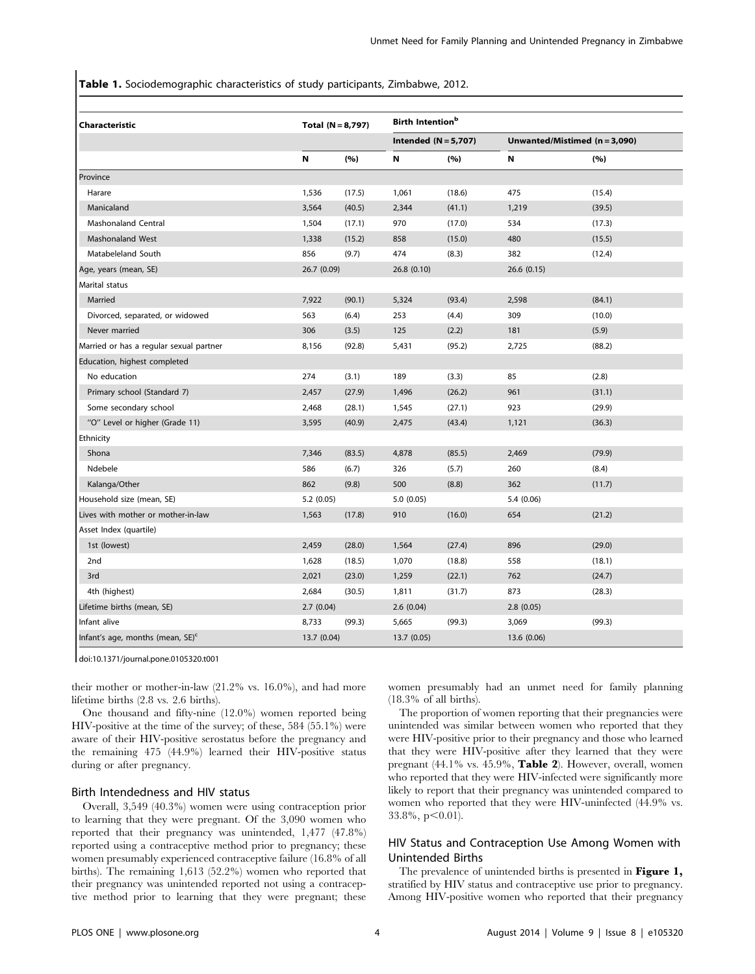Table 1. Sociodemographic characteristics of study participants, Zimbabwe, 2012.

| Characteristic                               | Total $(N = 8,797)$ |                        | Birth Intention <sup>b</sup> |        |                               |        |  |
|----------------------------------------------|---------------------|------------------------|------------------------------|--------|-------------------------------|--------|--|
|                                              |                     | Intended $(N = 5,707)$ |                              |        | Unwanted/Mistimed (n = 3,090) |        |  |
|                                              | N                   | (%)                    | N                            | (%)    | N                             | (%)    |  |
| Province                                     |                     |                        |                              |        |                               |        |  |
| Harare                                       | 1,536               | (17.5)                 | 1,061                        | (18.6) | 475                           | (15.4) |  |
| Manicaland                                   | 3,564               | (40.5)                 | 2,344                        | (41.1) | 1,219                         | (39.5) |  |
| <b>Mashonaland Central</b>                   | 1,504               | (17.1)                 | 970                          | (17.0) | 534                           | (17.3) |  |
| Mashonaland West                             | 1,338               | (15.2)                 | 858                          | (15.0) | 480                           | (15.5) |  |
| Matabeleland South                           | 856                 | (9.7)                  | 474                          | (8.3)  | 382                           | (12.4) |  |
| Age, years (mean, SE)                        | 26.7 (0.09)         |                        | 26.8(0.10)                   |        | 26.6(0.15)                    |        |  |
| Marital status                               |                     |                        |                              |        |                               |        |  |
| Married                                      | 7,922               | (90.1)                 | 5,324                        | (93.4) | 2,598                         | (84.1) |  |
| Divorced, separated, or widowed              | 563                 | (6.4)                  | 253                          | (4.4)  | 309                           | (10.0) |  |
| Never married                                | 306                 | (3.5)                  | 125                          | (2.2)  | 181                           | (5.9)  |  |
| Married or has a regular sexual partner      | 8,156               | (92.8)                 | 5,431                        | (95.2) | 2,725                         | (88.2) |  |
| Education, highest completed                 |                     |                        |                              |        |                               |        |  |
| No education                                 | 274                 | (3.1)                  | 189                          | (3.3)  | 85                            | (2.8)  |  |
| Primary school (Standard 7)                  | 2,457               | (27.9)                 | 1,496                        | (26.2) | 961                           | (31.1) |  |
| Some secondary school                        | 2,468               | (28.1)                 | 1,545                        | (27.1) | 923                           | (29.9) |  |
| "O" Level or higher (Grade 11)               | 3,595               | (40.9)                 | 2,475                        | (43.4) | 1,121                         | (36.3) |  |
| Ethnicity                                    |                     |                        |                              |        |                               |        |  |
| Shona                                        | 7,346               | (83.5)                 | 4,878                        | (85.5) | 2,469                         | (79.9) |  |
| Ndebele                                      | 586                 | (6.7)                  | 326                          | (5.7)  | 260                           | (8.4)  |  |
| Kalanga/Other                                | 862                 | (9.8)                  | 500                          | (8.8)  | 362                           | (11.7) |  |
| Household size (mean, SE)                    | 5.2(0.05)           |                        | 5.0(0.05)                    |        | 5.4 (0.06)                    |        |  |
| Lives with mother or mother-in-law           | 1,563               | (17.8)                 | 910                          | (16.0) | 654                           | (21.2) |  |
| Asset Index (quartile)                       |                     |                        |                              |        |                               |        |  |
| 1st (lowest)                                 | 2,459               | (28.0)                 | 1,564                        | (27.4) | 896                           | (29.0) |  |
| 2nd                                          | 1,628               | (18.5)                 | 1,070                        | (18.8) | 558                           | (18.1) |  |
| 3rd                                          | 2,021               | (23.0)                 | 1,259                        | (22.1) | 762                           | (24.7) |  |
| 4th (highest)                                | 2,684               | (30.5)                 | 1,811                        | (31.7) | 873                           | (28.3) |  |
| Lifetime births (mean, SE)                   | 2.7(0.04)           |                        | 2.6(0.04)                    |        | 2.8(0.05)                     |        |  |
| Infant alive                                 | 8,733               | (99.3)                 | 5,665                        | (99.3) | 3,069                         | (99.3) |  |
| Infant's age, months (mean, SE) <sup>c</sup> | 13.7 (0.04)         |                        | 13.7(0.05)                   |        | 13.6 (0.06)                   |        |  |

doi:10.1371/journal.pone.0105320.t001

their mother or mother-in-law (21.2% vs. 16.0%), and had more lifetime births (2.8 vs. 2.6 births).

One thousand and fifty-nine (12.0%) women reported being HIV-positive at the time of the survey; of these, 584 (55.1%) were aware of their HIV-positive serostatus before the pregnancy and the remaining 475 (44.9%) learned their HIV-positive status during or after pregnancy.

#### Birth Intendedness and HIV status

Overall, 3,549 (40.3%) women were using contraception prior to learning that they were pregnant. Of the 3,090 women who reported that their pregnancy was unintended, 1,477 (47.8%) reported using a contraceptive method prior to pregnancy; these women presumably experienced contraceptive failure (16.8% of all births). The remaining 1,613 (52.2%) women who reported that their pregnancy was unintended reported not using a contraceptive method prior to learning that they were pregnant; these

women presumably had an unmet need for family planning (18.3% of all births).

The proportion of women reporting that their pregnancies were unintended was similar between women who reported that they were HIV-positive prior to their pregnancy and those who learned that they were HIV-positive after they learned that they were pregnant (44.1% vs. 45.9%, Table 2). However, overall, women who reported that they were HIV-infected were significantly more likely to report that their pregnancy was unintended compared to women who reported that they were HIV-uninfected (44.9% vs.  $33.8\%, p<0.01$ ).

#### HIV Status and Contraception Use Among Women with Unintended Births

The prevalence of unintended births is presented in Figure 1, stratified by HIV status and contraceptive use prior to pregnancy. Among HIV-positive women who reported that their pregnancy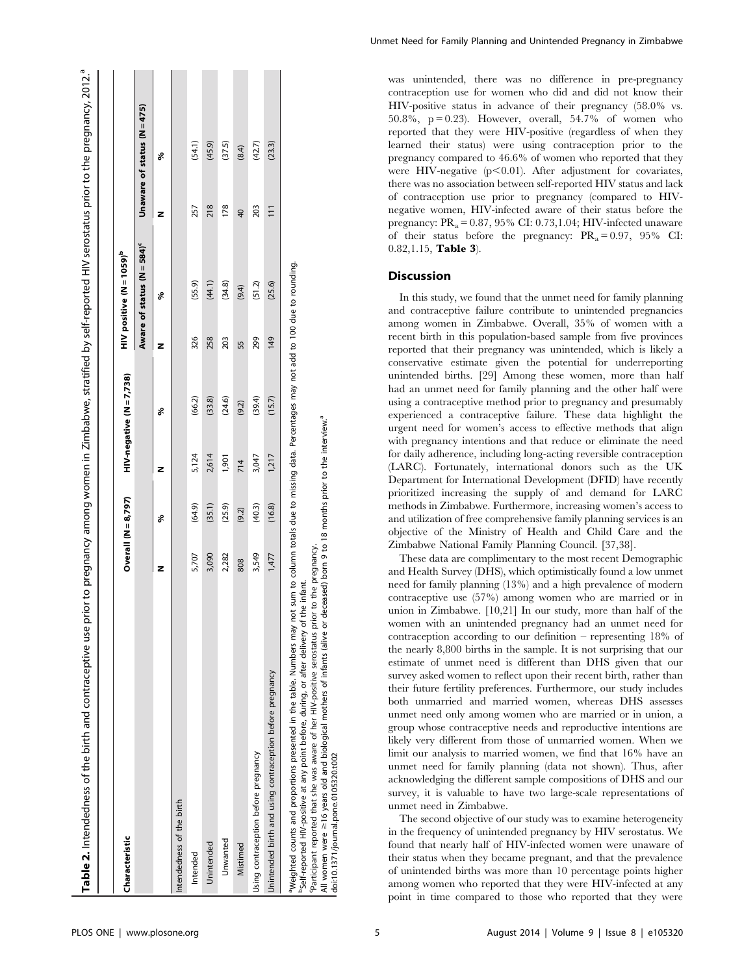| Characteristic                                                                                                                                                                                                                                                                                                                                                                                                                                                                                                        | Overall $(N = 8,797)$ |        |       | $HIV$ -negative $(N = 7,738)$ |     | $HIV$ positive $(N=1059)^b$            |                 |                               |
|-----------------------------------------------------------------------------------------------------------------------------------------------------------------------------------------------------------------------------------------------------------------------------------------------------------------------------------------------------------------------------------------------------------------------------------------------------------------------------------------------------------------------|-----------------------|--------|-------|-------------------------------|-----|----------------------------------------|-----------------|-------------------------------|
|                                                                                                                                                                                                                                                                                                                                                                                                                                                                                                                       |                       |        |       |                               |     | Aware of status (N = 584) <sup>c</sup> |                 | Unaware of status $(N = 475)$ |
|                                                                                                                                                                                                                                                                                                                                                                                                                                                                                                                       | z                     | శి     | z     | శి                            | z   | శి                                     | z               | శ                             |
| Intendedness of the birth                                                                                                                                                                                                                                                                                                                                                                                                                                                                                             |                       |        |       |                               |     |                                        |                 |                               |
| Intended                                                                                                                                                                                                                                                                                                                                                                                                                                                                                                              | 5,707                 | (64.9) | 5,124 | (66.2)                        | 326 | (55.9)                                 | 257             | (54.1)                        |
| Unintended                                                                                                                                                                                                                                                                                                                                                                                                                                                                                                            | 3,090                 | (35.1) | 2,614 | (33.8)                        | 258 | (44.1)                                 | 218             | (45.9)                        |
| Unwanted                                                                                                                                                                                                                                                                                                                                                                                                                                                                                                              | 2,282                 | (25.9) | 1,901 | (24.6)                        | 203 | (34.8)                                 | 178             | (37.5)                        |
| Mistimed                                                                                                                                                                                                                                                                                                                                                                                                                                                                                                              | 808                   | (9.2)  | 714   | (9.2)                         | 55  | (9.4)                                  | $\overline{4}$  | (8.4)                         |
| Using contraception before pregnancy                                                                                                                                                                                                                                                                                                                                                                                                                                                                                  | 3,549                 | (40.3) | 3,047 | (39.4)                        | 299 | (51.2)                                 | 203             | (42.7)                        |
| Jnintended birth and using contraception before pregnancy                                                                                                                                                                                                                                                                                                                                                                                                                                                             | 1,477                 | (16.8) | 1,217 | (15.7)                        | 149 | (25.6)                                 | $\overline{11}$ | (23.3)                        |
| "Meighted counts and proportions presented in the table. Numbers may not sum to column totals due to missing data. Percentages may not add to 100 due to rounding.<br>All women were ≥16 years old and biological mothers of infants (alive or deceased) born 9 to 18 months prior to the interview.ª<br>'Participant reported that she was aware of her HIV-positive serostatus prior to the pregnancy.<br>he infant.<br><sup>b</sup> Self-reported HIV-positive at any point before, during, or after delivery of t |                       |        |       |                               |     |                                        |                 |                               |

Unmet Need for Family Planning and Unintended Pregnancy in Zimbabwe

was unintended, there was no difference in pre-pregnancy contraception use for women who did and did not know their HIV-positive status in advance of their pregnancy (58.0% vs. 50.8%,  $p = 0.23$ ). However, overall, 54.7% of women who reported that they were HIV-positive (regardless of when they learned their status) were using contraception prior to the pregnancy compared to 46.6% of women who reported that they were HIV-negative  $(p<0.01)$ . After adjustment for covariates, there was no association between self-reported HIV status and lack of contraception use prior to pregnancy (compared to HIVnegative women, HIV-infected aware of their status before the pregnancy:  $PR_a = 0.87, 95\% \text{ CI: } 0.73, 1.04$ ; HIV-infected unaware of their status before the pregnancy:  $PR_a = 0.97$ ,  $95\%$  CI: 0.82,1.15, Table 3).

### Discussion

In this study, we found that the unmet need for family planning and contraceptive failure contribute to unintended pregnancies among women in Zimbabwe. Overall, 35% of women with a recent birth in this population-based sample from five provinces reported that their pregnancy was unintended, which is likely a conservative estimate given the potential for underreporting unintended births. [29] Among these women, more than half had an unmet need for family planning and the other half were using a contraceptive method prior to pregnancy and presumably experienced a contraceptive failure. These data highlight the urgent need for women's access to effective methods that align with pregnancy intentions and that reduce or eliminate the need for daily adherence, including long-acting reversible contraception (LARC). Fortunately, international donors such as the UK Department for International Development (DFID) have recently prioritized increasing the supply of and demand for LARC methods in Zimbabwe. Furthermore, increasing women's access to and utilization of free comprehensive family planning services is an objective of the Ministry of Health and Child Care and the Zimbabwe National Family Planning Council. [37,38].

These data are complimentary to the most recent Demographic and Health Survey (DHS), which optimistically found a low unmet need for family planning (13%) and a high prevalence of modern contraceptive use (57%) among women who are married or in union in Zimbabwe. [10,21] In our study, more than half of the women with an unintended pregnancy had an unmet need for contraception according to our definition – representing 18% of the nearly 8,800 births in the sample. It is not surprising that our estimate of unmet need is different than DHS given that our survey asked women to reflect upon their recent birth, rather than their future fertility preferences. Furthermore, our study includes both unmarried and married women, whereas DHS assesses unmet need only among women who are married or in union, a group whose contraceptive needs and reproductive intentions are likely very different from those of unmarried women. When we limit our analysis to married women, we find that 16% have an unmet need for family planning (data not shown). Thus, after acknowledging the different sample compositions of DHS and our survey, it is valuable to have two large-scale representations of unmet need in Zimbabwe.

The second objective of our study was to examine heterogeneity in the frequency of unintended pregnancy by HIV serostatus. We found that nearly half of HIV-infected women were unaware of their status when they became pregnant, and that the prevalence of unintended births was more than 10 percentage points higher among women who reported that they were HIV-infected at any point in time compared to those who reported that they were

doi:10.1371/journal.pone.0105320.t002

doi:10.1371/journal.pone.0105320.t002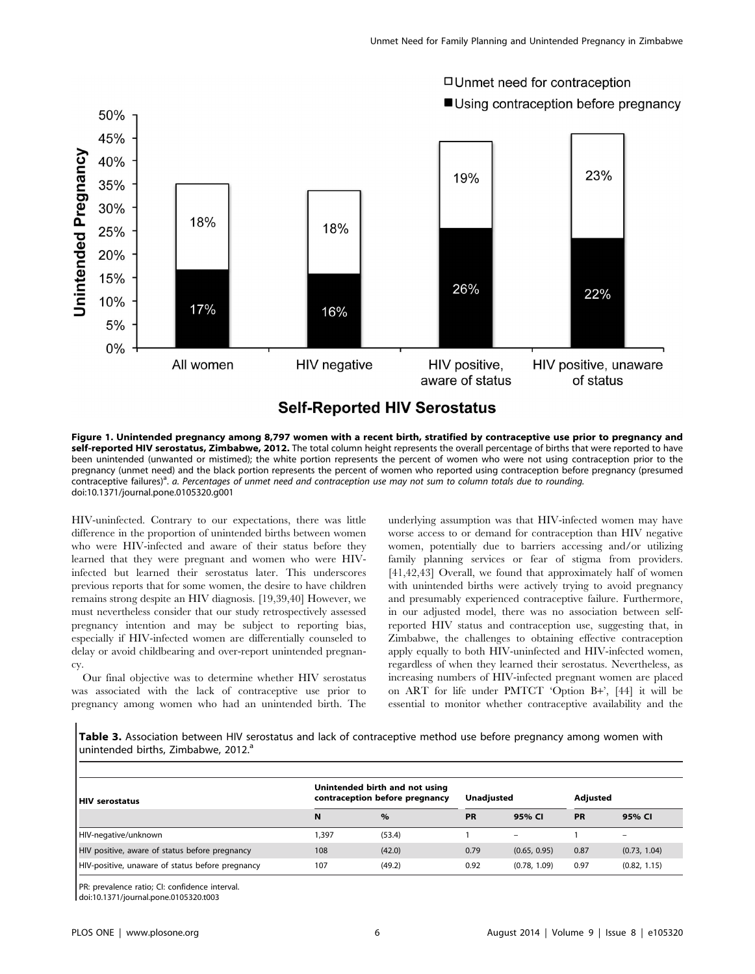

Figure 1. Unintended pregnancy among 8,797 women with a recent birth, stratified by contraceptive use prior to pregnancy and self-reported HIV serostatus, Zimbabwe, 2012. The total column height represents the overall percentage of births that were reported to have been unintended (unwanted or mistimed); the white portion represents the percent of women who were not using contraception prior to the pregnancy (unmet need) and the black portion represents the percent of women who reported using contraception before pregnancy (presumed contraceptive failures)<sup>a</sup>. a. Percentages of unmet need and contraception use may not sum to column totals due to rounding. doi:10.1371/journal.pone.0105320.g001

HIV-uninfected. Contrary to our expectations, there was little difference in the proportion of unintended births between women who were HIV-infected and aware of their status before they learned that they were pregnant and women who were HIVinfected but learned their serostatus later. This underscores previous reports that for some women, the desire to have children remains strong despite an HIV diagnosis. [19,39,40] However, we must nevertheless consider that our study retrospectively assessed pregnancy intention and may be subject to reporting bias, especially if HIV-infected women are differentially counseled to delay or avoid childbearing and over-report unintended pregnancy.

Our final objective was to determine whether HIV serostatus was associated with the lack of contraceptive use prior to pregnancy among women who had an unintended birth. The underlying assumption was that HIV-infected women may have worse access to or demand for contraception than HIV negative women, potentially due to barriers accessing and/or utilizing family planning services or fear of stigma from providers. [41,42,43] Overall, we found that approximately half of women with unintended births were actively trying to avoid pregnancy and presumably experienced contraceptive failure. Furthermore, in our adjusted model, there was no association between selfreported HIV status and contraception use, suggesting that, in Zimbabwe, the challenges to obtaining effective contraception apply equally to both HIV-uninfected and HIV-infected women, regardless of when they learned their serostatus. Nevertheless, as increasing numbers of HIV-infected pregnant women are placed on ART for life under PMTCT 'Option B+', [44] it will be essential to monitor whether contraceptive availability and the

Table 3. Association between HIV serostatus and lack of contraceptive method use before pregnancy among women with unintended births, Zimbabwe, 2012.<sup>a</sup>

| HIV serostatus                                   | Unintended birth and not using<br>contraception before pregnancy |        | Unadiusted |                 | Adjusted  |                          |
|--------------------------------------------------|------------------------------------------------------------------|--------|------------|-----------------|-----------|--------------------------|
|                                                  | N                                                                | $\%$   | <b>PR</b>  | 95% CI          | <b>PR</b> | 95% CI                   |
| HIV-negative/unknown                             | 1,397                                                            | (53.4) |            | $\qquad \qquad$ |           | $\overline{\phantom{0}}$ |
| HIV positive, aware of status before pregnancy   | 108                                                              | (42.0) | 0.79       | (0.65, 0.95)    | 0.87      | (0.73, 1.04)             |
| HIV-positive, unaware of status before pregnancy | 107                                                              | (49.2) | 0.92       | (0.78, 1.09)    | 0.97      | (0.82, 1.15)             |

PR: prevalence ratio; CI: confidence interval.

doi:10.1371/journal.pone.0105320.t003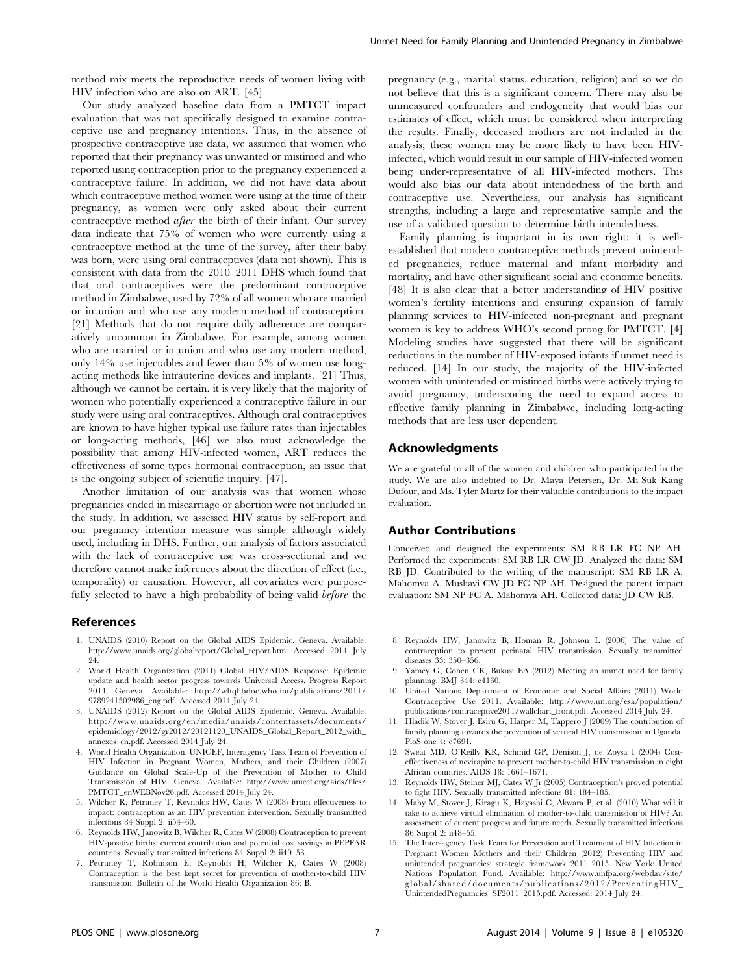method mix meets the reproductive needs of women living with HIV infection who are also on ART. [45].

Our study analyzed baseline data from a PMTCT impact evaluation that was not specifically designed to examine contraceptive use and pregnancy intentions. Thus, in the absence of prospective contraceptive use data, we assumed that women who reported that their pregnancy was unwanted or mistimed and who reported using contraception prior to the pregnancy experienced a contraceptive failure. In addition, we did not have data about which contraceptive method women were using at the time of their pregnancy, as women were only asked about their current contraceptive method after the birth of their infant. Our survey data indicate that 75% of women who were currently using a contraceptive method at the time of the survey, after their baby was born, were using oral contraceptives (data not shown). This is consistent with data from the 2010–2011 DHS which found that that oral contraceptives were the predominant contraceptive method in Zimbabwe, used by 72% of all women who are married or in union and who use any modern method of contraception. [21] Methods that do not require daily adherence are comparatively uncommon in Zimbabwe. For example, among women who are married or in union and who use any modern method, only 14% use injectables and fewer than 5% of women use longacting methods like intrauterine devices and implants. [21] Thus, although we cannot be certain, it is very likely that the majority of women who potentially experienced a contraceptive failure in our study were using oral contraceptives. Although oral contraceptives are known to have higher typical use failure rates than injectables or long-acting methods, [46] we also must acknowledge the possibility that among HIV-infected women, ART reduces the effectiveness of some types hormonal contraception, an issue that is the ongoing subject of scientific inquiry. [47].

Another limitation of our analysis was that women whose pregnancies ended in miscarriage or abortion were not included in the study. In addition, we assessed HIV status by self-report and our pregnancy intention measure was simple although widely used, including in DHS. Further, our analysis of factors associated with the lack of contraceptive use was cross-sectional and we therefore cannot make inferences about the direction of effect (i.e., temporality) or causation. However, all covariates were purposefully selected to have a high probability of being valid before the

#### References

- 1. UNAIDS (2010) Report on the Global AIDS Epidemic. Geneva. Available: [http://www.unaids.org/globalreport/Global\\_report.htm](http://www.unaids.org/globalreport/Global_report.htm). Accessed 2014 July 24.
- 2. World Health Organization (2011) Global HIV/AIDS Response: Epidemic update and health sector progress towards Universal Access. Progress Report 2011. Geneva. Available: [http://whqlibdoc.who.int/publications/2011/](http://whqlibdoc.who.int/publications/2011/9789241502986_eng.pdf) [9789241502986\\_eng.pdf.](http://whqlibdoc.who.int/publications/2011/9789241502986_eng.pdf) Accessed 2014 July 24.
- 3. UNAIDS (2012) Report on the Global AIDS Epidemic. Geneva. Available: [http://www.unaids.org/en/media/unaids/contentassets/documents/](http://www.unaids.org/en/media/unaids/contentassets/documents/epidemiology/2012/gr2012/20121120_UNAIDS_Global_Report_2012_with_annexes_en.pdf) [epidemiology/2012/gr2012/20121120\\_UNAIDS\\_Global\\_Report\\_2012\\_with\\_](http://www.unaids.org/en/media/unaids/contentassets/documents/epidemiology/2012/gr2012/20121120_UNAIDS_Global_Report_2012_with_annexes_en.pdf) [annexes\\_en.pdf](http://www.unaids.org/en/media/unaids/contentassets/documents/epidemiology/2012/gr2012/20121120_UNAIDS_Global_Report_2012_with_annexes_en.pdf). Accessed 2014 July 24.
- 4. World Health Organization, UNICEF, Interagency Task Team of Prevention of HIV Infection in Pregnant Women, Mothers, and their Children (2007) Guidance on Global Scale-Up of the Prevention of Mother to Child Transmission of HIV. Geneva. Available: [http://www.unicef.org/aids/files/](http://www.unicef.org/aids/files/PMTCT_enWEBNov26.pdf) [PMTCT\\_enWEBNov26.pdf](http://www.unicef.org/aids/files/PMTCT_enWEBNov26.pdf). Accessed 2014 July 24.
- 5. Wilcher R, Petruney T, Reynolds HW, Cates W (2008) From effectiveness to impact: contraception as an HIV prevention intervention. Sexually transmitted infections 84 Suppl 2: ii54–60.
- 6. Reynolds HW, Janowitz B, Wilcher R, Cates W (2008) Contraception to prevent HIV-positive births: current contribution and potential cost savings in PEPFAR countries. Sexually transmitted infections 84 Suppl 2: ii49–53.
- 7. Petruney T, Robinson E, Reynolds H, Wilcher R, Cates W (2008) Contraception is the best kept secret for prevention of mother-to-child HIV transmission. Bulletin of the World Health Organization 86: B.

pregnancy (e.g., marital status, education, religion) and so we do not believe that this is a significant concern. There may also be unmeasured confounders and endogeneity that would bias our estimates of effect, which must be considered when interpreting the results. Finally, deceased mothers are not included in the analysis; these women may be more likely to have been HIVinfected, which would result in our sample of HIV-infected women being under-representative of all HIV-infected mothers. This would also bias our data about intendedness of the birth and contraceptive use. Nevertheless, our analysis has significant strengths, including a large and representative sample and the use of a validated question to determine birth intendedness.

Family planning is important in its own right: it is wellestablished that modern contraceptive methods prevent unintended pregnancies, reduce maternal and infant morbidity and mortality, and have other significant social and economic benefits. [48] It is also clear that a better understanding of HIV positive women's fertility intentions and ensuring expansion of family planning services to HIV-infected non-pregnant and pregnant women is key to address WHO's second prong for PMTCT. [4] Modeling studies have suggested that there will be significant reductions in the number of HIV-exposed infants if unmet need is reduced. [14] In our study, the majority of the HIV-infected women with unintended or mistimed births were actively trying to avoid pregnancy, underscoring the need to expand access to effective family planning in Zimbabwe, including long-acting methods that are less user dependent.

#### Acknowledgments

We are grateful to all of the women and children who participated in the study. We are also indebted to Dr. Maya Petersen, Dr. Mi-Suk Kang Dufour, and Ms. Tyler Martz for their valuable contributions to the impact evaluation.

#### Author Contributions

Conceived and designed the experiments: SM RB LR FC NP AH. Performed the experiments: SM RB LR CW JD. Analyzed the data: SM RB JD. Contributed to the writing of the manuscript: SM RB LR A. Mahomva A. Mushavi CW JD FC NP AH. Designed the parent impact evaluation: SM NP FC A. Mahomva AH. Collected data: JD CW RB.

- 8. Reynolds HW, Janowitz B, Homan R, Johnson L (2006) The value of contraception to prevent perinatal HIV transmission. Sexually transmitted diseases 33: 350–356.
- 9. Yamey G, Cohen CR, Bukusi EA (2012) Meeting an unmet need for family planning. BMJ 344: e4160.
- 10. United Nations Department of Economic and Social Affairs (2011) World Contraceptive Use 2011. Available: [http://www.un.org/esa/population/](http://www.un.org/esa/population/publications/contraceptive2011/wallchart_front.pdf) [publications/contraceptive2011/wallchart\\_front.pdf.](http://www.un.org/esa/population/publications/contraceptive2011/wallchart_front.pdf) Accessed 2014 July 24.
- 11. Hladik W, Stover J, Esiru G, Harper M, Tappero J (2009) The contribution of family planning towards the prevention of vertical HIV transmission in Uganda. PloS one 4: e7691.
- 12. Sweat MD, O'Reilly KR, Schmid GP, Denison J, de Zoysa I (2004) Costeffectiveness of nevirapine to prevent mother-to-child HIV transmission in eight African countries. AIDS 18: 1661–1671.
- 13. Reynolds HW, Steiner MJ, Cates W Jr (2005) Contraception's proved potential to fight HIV. Sexually transmitted infections 81: 184–185.
- 14. Mahy M, Stover J, Kiragu K, Hayashi C, Akwara P, et al. (2010) What will it take to achieve virtual elimination of mother-to-child transmission of HIV? An assessment of current progress and future needs. Sexually transmitted infections 86 Suppl 2: ii48–55.
- 15. The Inter-agency Task Team for Prevention and Treatment of HIV Infection in Pregnant Women Mothers and their Children (2012) Preventing HIV and unintended pregnancies: strategic framework 2011–2015. New York: United Nations Population Fund. Available: [http://www.unfpa.org/webdav/site/](http://www.unfpa.org/webdav/site/global/shared/documents/publications/2012/PreventingHIV_UnintendedPregnancies_SF2011_2015.pdf) [global/shared/documents/publications/2012/PreventingHIV\\_](http://www.unfpa.org/webdav/site/global/shared/documents/publications/2012/PreventingHIV_UnintendedPregnancies_SF2011_2015.pdf) [UnintendedPregnancies\\_SF2011\\_2015.pdf.](http://www.unfpa.org/webdav/site/global/shared/documents/publications/2012/PreventingHIV_UnintendedPregnancies_SF2011_2015.pdf) Accessed: 2014 July 24.